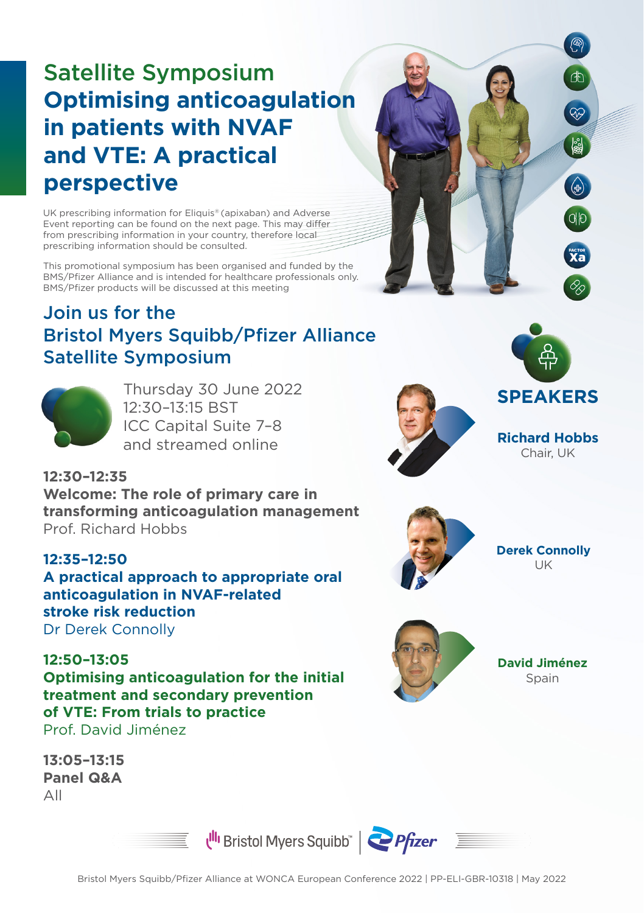## Satellite Symposium **Optimising anticoagulation in patients with NVAF and VTE: A practical perspective**

UK prescribing information for Eliquis® (apixaban) and Adverse Event reporting can be found on the next page. This may differ from prescribing information in your country, therefore local prescribing information should be consulted.

This promotional symposium has been organised and funded by the BMS/Pfizer Alliance and is intended for healthcare professionals only. BMS/Pfizer products will be discussed at this meeting

## Join us for the Bristol Myers Squibb/Pfizer Alliance Satellite Symposium



**12:30–12:35**

**12:35–12:50**

**12:50–13:05** 

Prof. Richard Hobbs

**stroke risk reduction** Dr Derek Connolly

Thursday 30 June 2022 12:30–13:15 BST ICC Capital Suite 7–8 and streamed online



**Richard Hobbs**  Chair, UK

**ED** 

 $\begin{pmatrix} 1 \\ 1 \\ 2 \end{pmatrix}$ 

 $\overline{\mathbf{X}}$ a



**Derek Connolly** UK



**David Jiménez**  Spain



**Welcome: The role of primary care in transforming anticoagulation management** 

**A practical approach to appropriate oral** 

**anticoagulation in NVAF-related**

**13:05–13:15 Panel Q&A** All